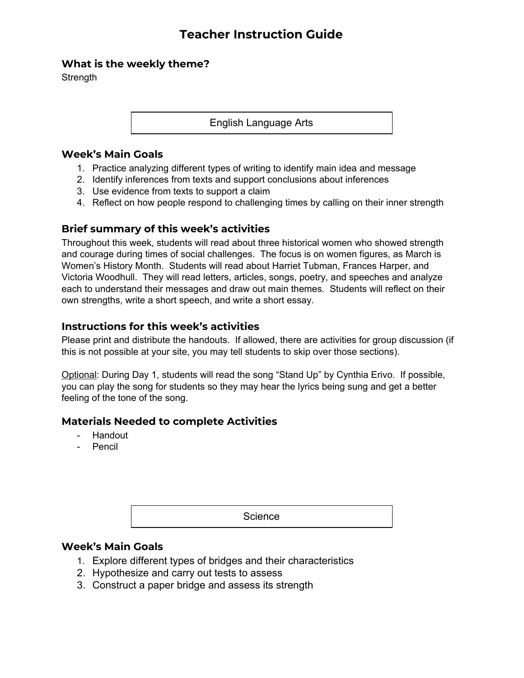# **Teacher Instruction Guide**

# **What is the weekly theme?**

**Strength** 

English Language Arts

#### **Week's Main Goals**

- 1. Practice analyzing different types of writing to identify main idea and message
- 2. Identify inferences from texts and support conclusions about inferences
- 3. Use evidence from texts to support a claim
- 4. Reflect on how people respond to challenging times by calling on their inner strength

#### **Brief summary of this week's activities**

Throughout this week, students will read about three historical women who showed strength and courage during times of social challenges. The focus is on women figures, as March is Women's History Month. Students will read about Harriet Tubman, Frances Harper, and Victoria Woodhull. They will read letters, articles, songs, poetry, and speeches and analyze each to understand their messages and draw out main themes. Students will reflect on their own strengths, write a short speech, and write a short essay.

### **Instructions for this week's activities**

Please print and distribute the handouts. If allowed, there are activities for group discussion (if this is not possible at your site, you may tell students to skip over those sections).

Optional: During Day 1, students will read the song "Stand Up" by Cynthia Erivo. If possible, you can play the song for students so they may hear the lyrics being sung and get a better feeling of the tone of the song.

#### **Materials Needed to complete Activities**

- Handout
- Pencil

Science

#### **Week's Main Goals**

- 1. Explore different types of bridges and their characteristics
- 2. Hypothesize and carry out tests to assess
- 3. Construct a paper bridge and assess its strength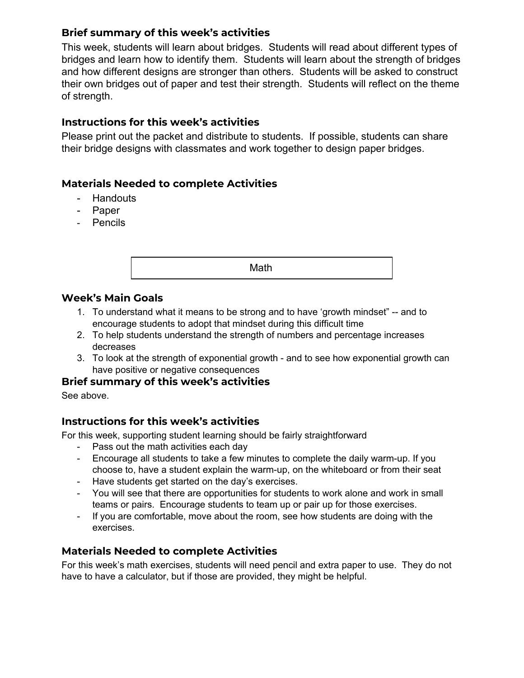# **Brief summary of this week's activities**

This week, students will learn about bridges. Students will read about different types of bridges and learn how to identify them. Students will learn about the strength of bridges and how different designs are stronger than others. Students will be asked to construct their own bridges out of paper and test their strength. Students will reflect on the theme of strength.

# **Instructions for this week's activities**

Please print out the packet and distribute to students. If possible, students can share their bridge designs with classmates and work together to design paper bridges.

# **Materials Needed to complete Activities**

- Handouts
- Paper
- Pencils

Math

### **Week's Main Goals**

- 1. To understand what it means to be strong and to have 'growth mindset" -- and to encourage students to adopt that mindset during this difficult time
- 2. To help students understand the strength of numbers and percentage increases decreases
- 3. To look at the strength of exponential growth and to see how exponential growth can have positive or negative consequences

# **Brief summary of this week's activities**

See above.

# **Instructions for this week's activities**

For this week, supporting student learning should be fairly straightforward

- Pass out the math activities each day
- Encourage all students to take a few minutes to complete the daily warm-up. If you choose to, have a student explain the warm-up, on the whiteboard or from their seat
- Have students get started on the day's exercises.
- You will see that there are opportunities for students to work alone and work in small teams or pairs. Encourage students to team up or pair up for those exercises.
- If you are comfortable, move about the room, see how students are doing with the exercises.

# **Materials Needed to complete Activities**

For this week's math exercises, students will need pencil and extra paper to use. They do not have to have a calculator, but if those are provided, they might be helpful.